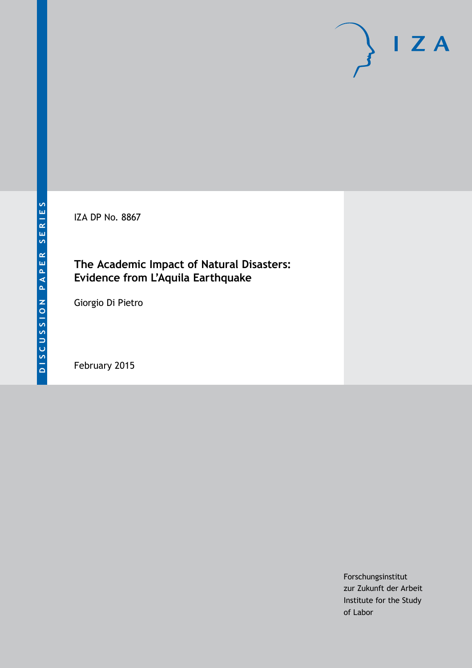IZA DP No. 8867

### **The Academic Impact of Natural Disasters: Evidence from L'Aquila Earthquake**

Giorgio Di Pietro

February 2015

Forschungsinstitut zur Zukunft der Arbeit Institute for the Study of Labor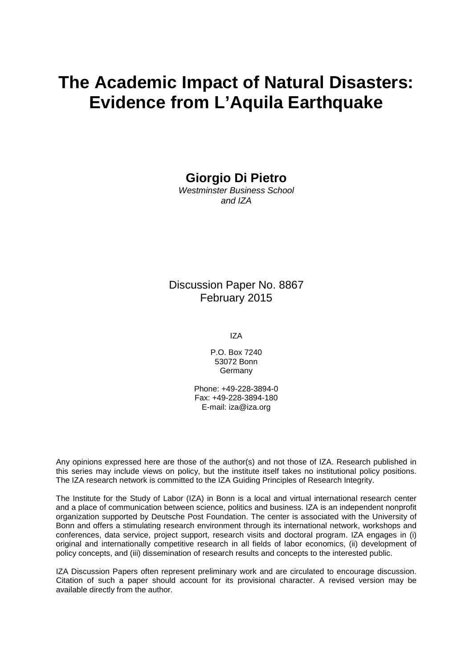# **The Academic Impact of Natural Disasters: Evidence from L'Aquila Earthquake**

**Giorgio Di Pietro**

*Westminster Business School and IZA*

Discussion Paper No. 8867 February 2015

IZA

P.O. Box 7240 53072 Bonn **Germany** 

Phone: +49-228-3894-0 Fax: +49-228-3894-180 E-mail: [iza@iza.org](mailto:iza@iza.org)

Any opinions expressed here are those of the author(s) and not those of IZA. Research published in this series may include views on policy, but the institute itself takes no institutional policy positions. The IZA research network is committed to the IZA Guiding Principles of Research Integrity.

The Institute for the Study of Labor (IZA) in Bonn is a local and virtual international research center and a place of communication between science, politics and business. IZA is an independent nonprofit organization supported by Deutsche Post Foundation. The center is associated with the University of Bonn and offers a stimulating research environment through its international network, workshops and conferences, data service, project support, research visits and doctoral program. IZA engages in (i) original and internationally competitive research in all fields of labor economics, (ii) development of policy concepts, and (iii) dissemination of research results and concepts to the interested public.

IZA Discussion Papers often represent preliminary work and are circulated to encourage discussion. Citation of such a paper should account for its provisional character. A revised version may be available directly from the author.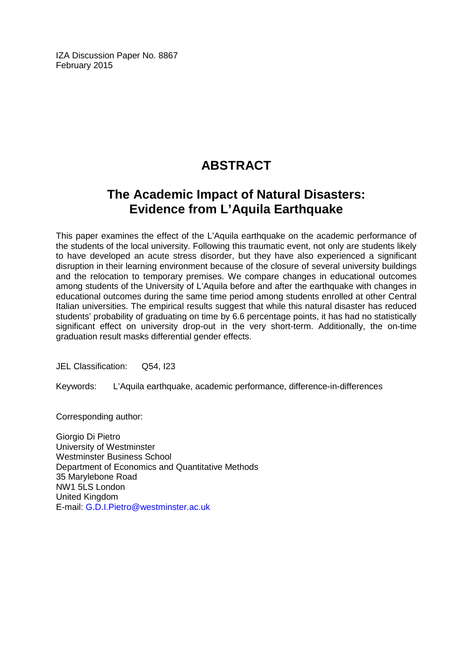IZA Discussion Paper No. 8867 February 2015

# **ABSTRACT**

# **The Academic Impact of Natural Disasters: Evidence from L'Aquila Earthquake**

This paper examines the effect of the L'Aquila earthquake on the academic performance of the students of the local university. Following this traumatic event, not only are students likely to have developed an acute stress disorder, but they have also experienced a significant disruption in their learning environment because of the closure of several university buildings and the relocation to temporary premises. We compare changes in educational outcomes among students of the University of L'Aquila before and after the earthquake with changes in educational outcomes during the same time period among students enrolled at other Central Italian universities. The empirical results suggest that while this natural disaster has reduced students' probability of graduating on time by 6.6 percentage points, it has had no statistically significant effect on university drop-out in the very short-term. Additionally, the on-time graduation result masks differential gender effects.

JEL Classification: Q54, I23

Keywords: L'Aquila earthquake, academic performance, difference-in-differences

Corresponding author:

Giorgio Di Pietro University of Westminster Westminster Business School Department of Economics and Quantitative Methods 35 Marylebone Road NW1 5LS London United Kingdom E-mail: [G.D.I.Pietro@westminster.ac.uk](mailto:G.D.I.Pietro@westminster.ac.uk)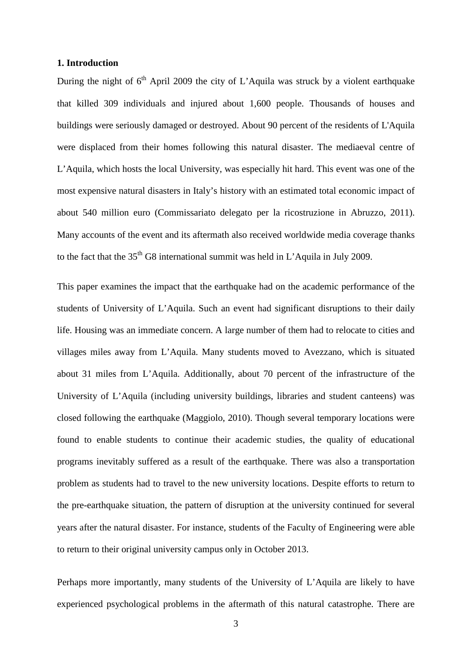#### **1. Introduction**

During the night of  $6<sup>th</sup>$  April 2009 the city of L'Aquila was struck by a violent earthquake that killed 309 individuals and injured about 1,600 people. Thousands of houses and buildings were seriously damaged or destroyed. About 90 percent of the residents of L'Aquila were displaced from their homes following this natural disaster. The mediaeval centre of L'Aquila, which hosts the local University, was especially hit hard. This event was one of the most expensive natural disasters in Italy's history with an estimated total economic impact of about 540 million euro (Commissariato delegato per la ricostruzione in Abruzzo, 2011). Many accounts of the event and its aftermath also received worldwide media coverage thanks to the fact that the  $35<sup>th</sup>$  G8 international summit was held in L'Aquila in July 2009.

This paper examines the impact that the earthquake had on the academic performance of the students of University of L'Aquila. Such an event had significant disruptions to their daily life. Housing was an immediate concern. A large number of them had to relocate to cities and villages miles away from L'Aquila. Many students moved to Avezzano, which is situated about 31 miles from L'Aquila. Additionally, about 70 percent of the infrastructure of the University of L'Aquila (including university buildings, libraries and student canteens) was closed following the earthquake (Maggiolo, 2010). Though several temporary locations were found to enable students to continue their academic studies, the quality of educational programs inevitably suffered as a result of the earthquake. There was also a transportation problem as students had to travel to the new university locations. Despite efforts to return to the pre-earthquake situation, the pattern of disruption at the university continued for several years after the natural disaster. For instance, students of the Faculty of Engineering were able to return to their original university campus only in October 2013.

Perhaps more importantly, many students of the University of L'Aquila are likely to have experienced psychological problems in the aftermath of this natural catastrophe. There are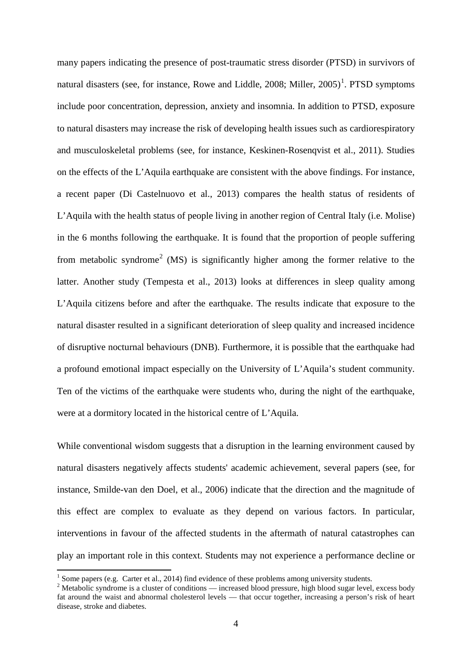many papers indicating the presence of post-traumatic stress disorder (PTSD) in survivors of natural disasters (see, for instance, Rowe and Liddle, 2008; Miller, 2005)<sup>1</sup>. PTSD symptoms include poor concentration, depression, anxiety and insomnia. In addition to PTSD, exposure to natural disasters may increase the risk of developing health issues such as cardiorespiratory and musculoskeletal problems (see, for instance, Keskinen-Rosenqvist et al., 2011). Studies on the effects of the L'Aquila earthquake are consistent with the above findings. For instance, a recent paper (Di Castelnuovo et al., 2013) compares the health status of residents of L'Aquila with the health status of people living in another region of Central Italy (i.e. Molise) in the 6 months following the earthquake. It is found that the proportion of people suffering from metabolic syndrome<sup>[2](#page-4-0)</sup> (MS) is significantly higher among the former relative to the latter. Another study (Tempesta et al., 2013) looks at differences in sleep quality among L'Aquila citizens before and after the earthquake. The results indicate that exposure to the natural disaster resulted in a significant deterioration of sleep quality and increased incidence of disruptive nocturnal behaviours (DNB). Furthermore, it is possible that the earthquake had a profound emotional impact especially on the University of L'Aquila's student community. Ten of the victims of the earthquake were students who, during the night of the earthquake, were at a dormitory located in the historical centre of L'Aquila.

While conventional wisdom suggests that a disruption in the learning environment caused by natural disasters negatively affects students' academic achievement, several papers (see, for instance, Smilde-van den Doel, et al., 2006) indicate that the direction and the magnitude of this effect are complex to evaluate as they depend on various factors. In particular, interventions in favour of the affected students in the aftermath of natural catastrophes can play an important role in this context. Students may not experience a performance decline or

<sup>&</sup>lt;sup>1</sup> Some papers (e.g. Carter et al., 2014) find evidence of these problems among university students.

<span id="page-4-1"></span><span id="page-4-0"></span><sup>&</sup>lt;sup>2</sup> Metabolic syndrome is a cluster of conditions — increased blood pressure, high blood sugar level, excess body fat around the waist and abnormal cholesterol levels — that occur together, increasing a person's risk of heart disease, stroke and diabetes.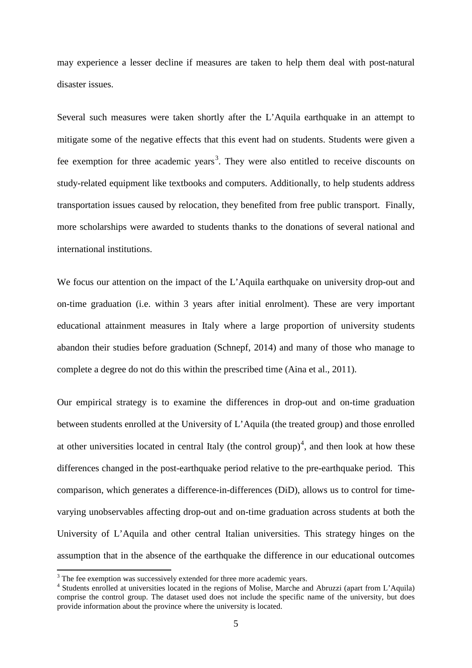may experience a lesser decline if measures are taken to help them deal with post-natural disaster issues.

Several such measures were taken shortly after the L'Aquila earthquake in an attempt to mitigate some of the negative effects that this event had on students. Students were given a fee exemption for three academic years<sup>[3](#page-4-1)</sup>. They were also entitled to receive discounts on study-related equipment like textbooks and computers. Additionally, to help students address transportation issues caused by relocation, they benefited from free public transport. Finally, more scholarships were awarded to students thanks to the donations of several national and international institutions.

We focus our attention on the impact of the L'Aquila earthquake on university drop-out and on-time graduation (i.e. within 3 years after initial enrolment). These are very important educational attainment measures in Italy where a large proportion of university students abandon their studies before graduation (Schnepf, 2014) and many of those who manage to complete a degree do not do this within the prescribed time (Aina et al., 2011).

Our empirical strategy is to examine the differences in drop-out and on-time graduation between students enrolled at the University of L'Aquila (the treated group) and those enrolled at other universities located in central Italy (the control group)<sup>[4](#page-5-0)</sup>, and then look at how these differences changed in the post-earthquake period relative to the pre-earthquake period. This comparison, which generates a difference-in-differences (DiD), allows us to control for timevarying unobservables affecting drop-out and on-time graduation across students at both the University of L'Aquila and other central Italian universities. This strategy hinges on the assumption that in the absence of the earthquake the difference in our educational outcomes

 $3$  The fee exemption was successively extended for three more academic years.

<span id="page-5-1"></span><span id="page-5-0"></span><sup>&</sup>lt;sup>4</sup> Students enrolled at universities located in the regions of Molise, Marche and Abruzzi (apart from L'Aquila) comprise the control group. The dataset used does not include the specific name of the university, but does provide information about the province where the university is located.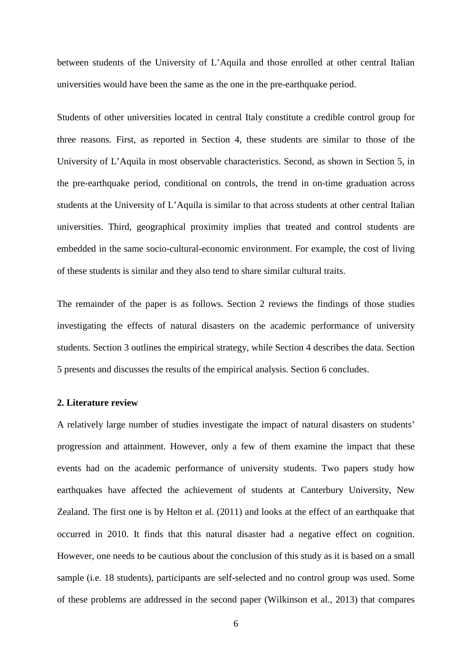between students of the University of L'Aquila and those enrolled at other central Italian universities would have been the same as the one in the pre-earthquake period.

Students of other universities located in central Italy constitute a credible control group for three reasons. First, as reported in Section 4, these students are similar to those of the University of L'Aquila in most observable characteristics. Second, as shown in Section 5, in the pre-earthquake period, conditional on controls, the trend in on-time graduation across students at the University of L'Aquila is similar to that across students at other central Italian universities. Third, geographical proximity implies that treated and control students are embedded in the same socio-cultural-economic environment. For example, the cost of living of these students is similar and they also tend to share similar cultural traits.

The remainder of the paper is as follows. Section 2 reviews the findings of those studies investigating the effects of natural disasters on the academic performance of university students. Section 3 outlines the empirical strategy, while Section 4 describes the data. Section 5 presents and discusses the results of the empirical analysis. Section 6 concludes.

#### **2. Literature review**

A relatively large number of studies investigate the impact of natural disasters on students' progression and attainment. However, only a few of them examine the impact that these events had on the academic performance of university students. Two papers study how earthquakes have affected the achievement of students at Canterbury University, New Zealand. The first one is by Helton et al. (2011) and looks at the effect of an earthquake that occurred in 2010. It finds that this natural disaster had a negative effect on cognition. However, one needs to be cautious about the conclusion of this study as it is based on a small sample (i.e. 18 students), participants are self-selected and no control group was used. Some of these problems are addressed in the second paper (Wilkinson et al., 2013) that compares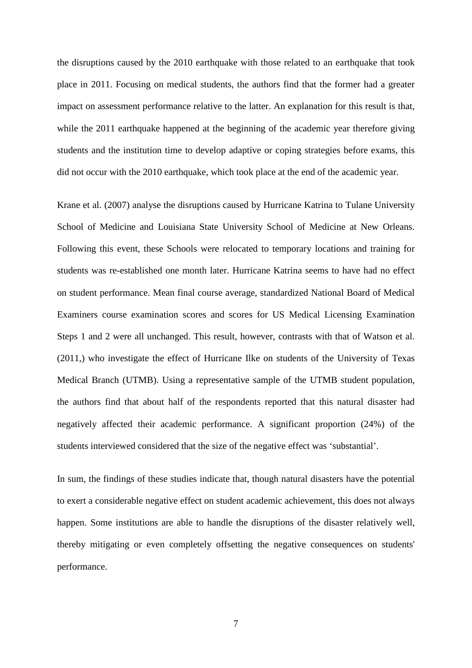the disruptions caused by the 2010 earthquake with those related to an earthquake that took place in 2011. Focusing on medical students, the authors find that the former had a greater impact on assessment performance relative to the latter. An explanation for this result is that, while the 2011 earthquake happened at the beginning of the academic year therefore giving students and the institution time to develop adaptive or coping strategies before exams, this did not occur with the 2010 earthquake, which took place at the end of the academic year.

Krane et al. (2007) analyse the disruptions caused by Hurricane Katrina to Tulane University School of Medicine and Louisiana State University School of Medicine at New Orleans. Following this event, these Schools were relocated to temporary locations and training for students was re-established one month later. Hurricane Katrina seems to have had no effect on student performance. Mean final course average, standardized National Board of Medical Examiners course examination scores and scores for US Medical Licensing Examination Steps 1 and 2 were all unchanged. This result, however, contrasts with that of Watson et al. (2011,) who investigate the effect of Hurricane Ilke on students of the University of Texas Medical Branch (UTMB). Using a representative sample of the UTMB student population, the authors find that about half of the respondents reported that this natural disaster had negatively affected their academic performance. A significant proportion (24%) of the students interviewed considered that the size of the negative effect was 'substantial'.

In sum, the findings of these studies indicate that, though natural disasters have the potential to exert a considerable negative effect on student academic achievement, this does not always happen. Some institutions are able to handle the disruptions of the disaster relatively well, thereby mitigating or even completely offsetting the negative consequences on students' performance.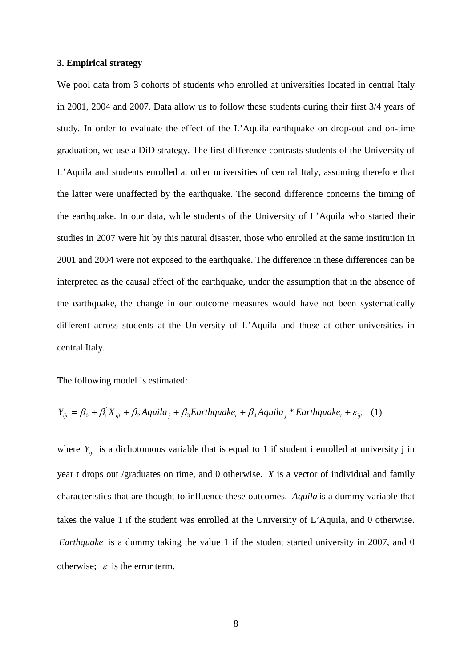#### **3. Empirical strategy**

We pool data from 3 cohorts of students who enrolled at universities located in central Italy in 2001, 2004 and 2007. Data allow us to follow these students during their first 3/4 years of study. In order to evaluate the effect of the L'Aquila earthquake on drop-out and on-time graduation, we use a DiD strategy. The first difference contrasts students of the University of L'Aquila and students enrolled at other universities of central Italy, assuming therefore that the latter were unaffected by the earthquake. The second difference concerns the timing of the earthquake. In our data, while students of the University of L'Aquila who started their studies in 2007 were hit by this natural disaster, those who enrolled at the same institution in 2001 and 2004 were not exposed to the earthquake. The difference in these differences can be interpreted as the causal effect of the earthquake, under the assumption that in the absence of the earthquake, the change in our outcome measures would have not been systematically different across students at the University of L'Aquila and those at other universities in central Italy.

The following model is estimated:

$$
Y_{ijt} = \beta_0 + \beta_1 X_{ijt} + \beta_2 A \text{quila}_j + \beta_3 \text{Earthquake}_t + \beta_4 A \text{quila}_j * \text{Earthquake}_t + \varepsilon_{ijt} \quad (1)
$$

where  $Y_{ijt}$  is a dichotomous variable that is equal to 1 if student i enrolled at university j in year t drops out /graduates on time, and 0 otherwise. *X* is a vector of individual and family characteristics that are thought to influence these outcomes. *Aquila* is a dummy variable that takes the value 1 if the student was enrolled at the University of L'Aquila, and 0 otherwise. *Earthquake* is a dummy taking the value 1 if the student started university in 2007, and 0 otherwise;  $\varepsilon$  is the error term.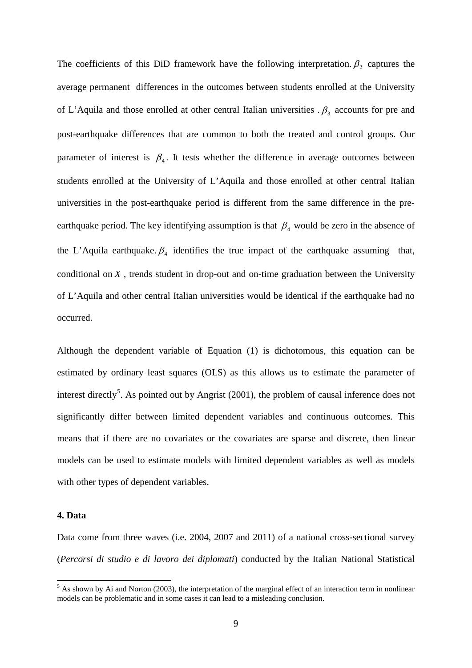The coefficients of this DiD framework have the following interpretation.  $\beta_2$  captures the average permanent differences in the outcomes between students enrolled at the University of L'Aquila and those enrolled at other central Italian universities  $\beta_3$  accounts for pre and post-earthquake differences that are common to both the treated and control groups. Our parameter of interest is  $\beta_4$ . It tests whether the difference in average outcomes between students enrolled at the University of L'Aquila and those enrolled at other central Italian universities in the post-earthquake period is different from the same difference in the preearthquake period. The key identifying assumption is that  $\beta_4$  would be zero in the absence of the L'Aquila earthquake.  $\beta_4$  identifies the true impact of the earthquake assuming that, conditional on *X* , trends student in drop-out and on-time graduation between the University of L'Aquila and other central Italian universities would be identical if the earthquake had no occurred.

Although the dependent variable of Equation (1) is dichotomous, this equation can be estimated by ordinary least squares (OLS) as this allows us to estimate the parameter of interest directly<sup>[5](#page-5-1)</sup>. As pointed out by Angrist (2001), the problem of causal inference does not significantly differ between limited dependent variables and continuous outcomes. This means that if there are no covariates or the covariates are sparse and discrete, then linear models can be used to estimate models with limited dependent variables as well as models with other types of dependent variables.

#### **4. Data**

Data come from three waves (i.e. 2004, 2007 and 2011) of a national cross-sectional survey (*Percorsi di studio e di lavoro dei diplomati*) conducted by the Italian National Statistical

<span id="page-9-0"></span> $<sup>5</sup>$  As shown by Ai and Norton (2003), the interpretation of the marginal effect of an interaction term in nonlinear</sup> models can be problematic and in some cases it can lead to a misleading conclusion.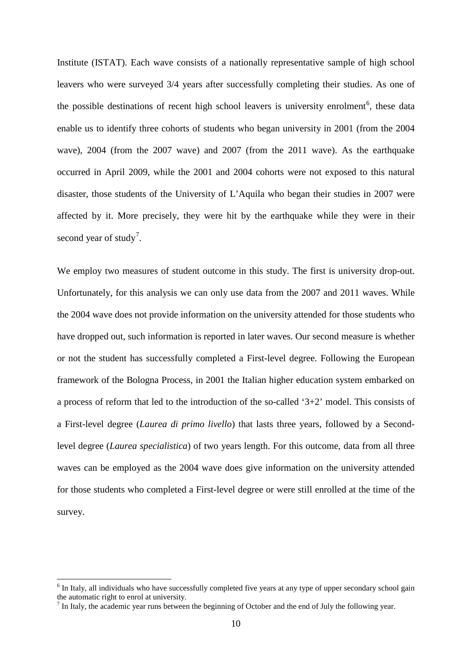Institute (ISTAT). Each wave consists of a nationally representative sample of high school leavers who were surveyed 3/4 years after successfully completing their studies. As one of the possible destinations of recent high school leavers is university enrolment<sup>[6](#page-9-0)</sup>, these data enable us to identify three cohorts of students who began university in 2001 (from the 2004 wave), 2004 (from the 2007 wave) and 2007 (from the 2011 wave). As the earthquake occurred in April 2009, while the 2001 and 2004 cohorts were not exposed to this natural disaster, those students of the University of L'Aquila who began their studies in 2007 were affected by it. More precisely, they were hit by the earthquake while they were in their second year of study<sup>[7](#page-10-0)</sup>.

We employ two measures of student outcome in this study. The first is university drop-out. Unfortunately, for this analysis we can only use data from the 2007 and 2011 waves. While the 2004 wave does not provide information on the university attended for those students who have dropped out, such information is reported in later waves. Our second measure is whether or not the student has successfully completed a First-level degree. Following the European framework of the Bologna Process, in 2001 the Italian higher education system embarked on a process of reform that led to the introduction of the so-called '3+2' model. This consists of a First-level degree (*Laurea di primo livello*) that lasts three years, followed by a Secondlevel degree (*Laurea specialistica*) of two years length. For this outcome, data from all three waves can be employed as the 2004 wave does give information on the university attended for those students who completed a First-level degree or were still enrolled at the time of the survey.

<span id="page-10-1"></span><sup>&</sup>lt;sup>6</sup> In Italy, all individuals who have successfully completed five years at any type of upper secondary school gain the automatic right to enrol at university.

<span id="page-10-0"></span> $<sup>7</sup>$  In Italy, the academic year runs between the beginning of October and the end of July the following year.</sup>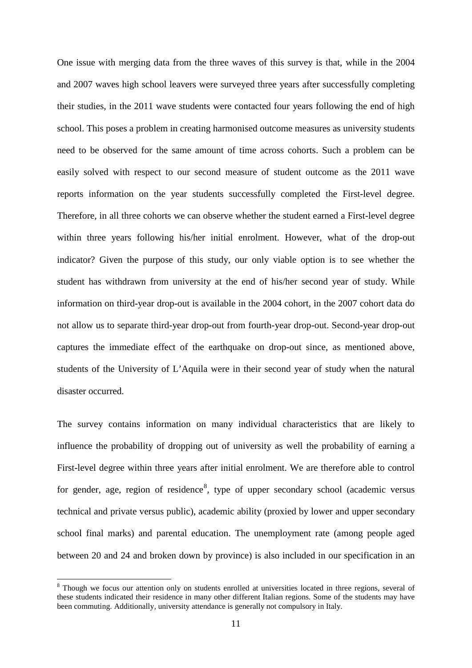One issue with merging data from the three waves of this survey is that, while in the 2004 and 2007 waves high school leavers were surveyed three years after successfully completing their studies, in the 2011 wave students were contacted four years following the end of high school. This poses a problem in creating harmonised outcome measures as university students need to be observed for the same amount of time across cohorts. Such a problem can be easily solved with respect to our second measure of student outcome as the 2011 wave reports information on the year students successfully completed the First-level degree. Therefore, in all three cohorts we can observe whether the student earned a First-level degree within three years following his/her initial enrolment. However, what of the drop-out indicator? Given the purpose of this study, our only viable option is to see whether the student has withdrawn from university at the end of his/her second year of study. While information on third-year drop-out is available in the 2004 cohort, in the 2007 cohort data do not allow us to separate third-year drop-out from fourth-year drop-out. Second-year drop-out captures the immediate effect of the earthquake on drop-out since, as mentioned above, students of the University of L'Aquila were in their second year of study when the natural disaster occurred.

The survey contains information on many individual characteristics that are likely to influence the probability of dropping out of university as well the probability of earning a First-level degree within three years after initial enrolment. We are therefore able to control for gender, age, region of residence<sup>[8](#page-10-1)</sup>, type of upper secondary school (academic versus technical and private versus public), academic ability (proxied by lower and upper secondary school final marks) and parental education. The unemployment rate (among people aged between 20 and 24 and broken down by province) is also included in our specification in an

<span id="page-11-0"></span><sup>&</sup>lt;sup>8</sup> Though we focus our attention only on students enrolled at universities located in three regions, several of these students indicated their residence in many other different Italian regions. Some of the students may have been commuting. Additionally, university attendance is generally not compulsory in Italy.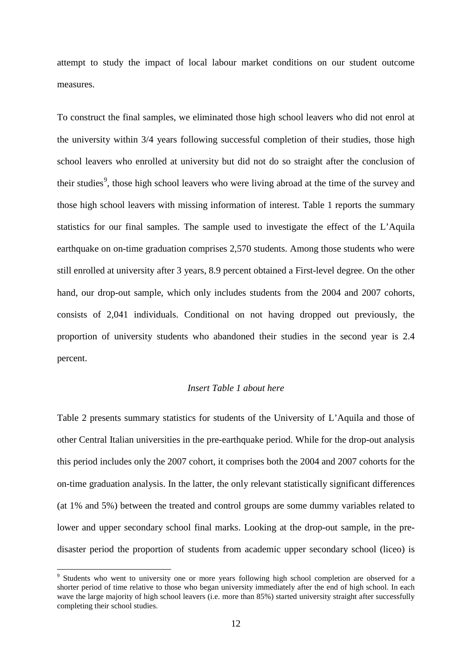attempt to study the impact of local labour market conditions on our student outcome measures.

To construct the final samples, we eliminated those high school leavers who did not enrol at the university within 3/4 years following successful completion of their studies, those high school leavers who enrolled at university but did not do so straight after the conclusion of their studies<sup>[9](#page-11-0)</sup>, those high school leavers who were living abroad at the time of the survey and those high school leavers with missing information of interest. Table 1 reports the summary statistics for our final samples. The sample used to investigate the effect of the L'Aquila earthquake on on-time graduation comprises 2,570 students. Among those students who were still enrolled at university after 3 years, 8.9 percent obtained a First-level degree. On the other hand, our drop-out sample, which only includes students from the 2004 and 2007 cohorts, consists of 2,041 individuals. Conditional on not having dropped out previously, the proportion of university students who abandoned their studies in the second year is 2.4 percent.

#### *Insert Table 1 about here*

Table 2 presents summary statistics for students of the University of L'Aquila and those of other Central Italian universities in the pre-earthquake period. While for the drop-out analysis this period includes only the 2007 cohort, it comprises both the 2004 and 2007 cohorts for the on-time graduation analysis. In the latter, the only relevant statistically significant differences (at 1% and 5%) between the treated and control groups are some dummy variables related to lower and upper secondary school final marks. Looking at the drop-out sample, in the predisaster period the proportion of students from academic upper secondary school (liceo) is

<span id="page-12-0"></span><sup>&</sup>lt;sup>9</sup> Students who went to university one or more years following high school completion are observed for a shorter period of time relative to those who began university immediately after the end of high school. In each wave the large majority of high school leavers (i.e. more than 85%) started university straight after successfully completing their school studies.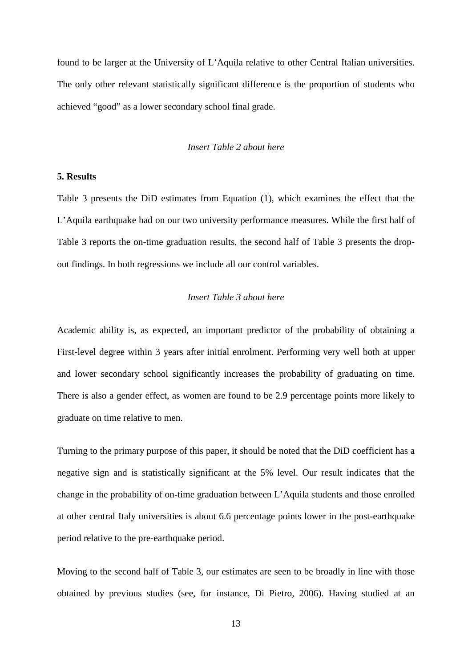found to be larger at the University of L'Aquila relative to other Central Italian universities. The only other relevant statistically significant difference is the proportion of students who achieved "good" as a lower secondary school final grade.

#### *Insert Table 2 about here*

#### **5. Results**

Table 3 presents the DiD estimates from Equation (1), which examines the effect that the L'Aquila earthquake had on our two university performance measures. While the first half of Table 3 reports the on-time graduation results, the second half of Table 3 presents the dropout findings. In both regressions we include all our control variables.

#### *Insert Table 3 about here*

Academic ability is, as expected, an important predictor of the probability of obtaining a First-level degree within 3 years after initial enrolment. Performing very well both at upper and lower secondary school significantly increases the probability of graduating on time. There is also a gender effect, as women are found to be 2.9 percentage points more likely to graduate on time relative to men.

Turning to the primary purpose of this paper, it should be noted that the DiD coefficient has a negative sign and is statistically significant at the 5% level. Our result indicates that the change in the probability of on-time graduation between L'Aquila students and those enrolled at other central Italy universities is about 6.6 percentage points lower in the post-earthquake period relative to the pre-earthquake period.

Moving to the second half of Table 3, our estimates are seen to be broadly in line with those obtained by previous studies (see, for instance, Di Pietro, 2006). Having studied at an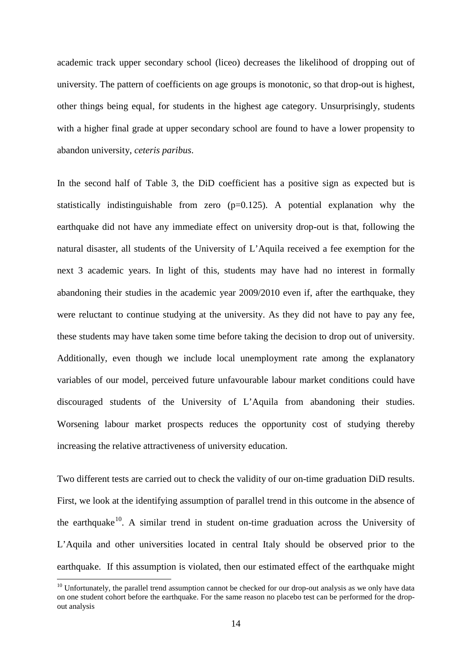academic track upper secondary school (liceo) decreases the likelihood of dropping out of university. The pattern of coefficients on age groups is monotonic, so that drop-out is highest, other things being equal, for students in the highest age category. Unsurprisingly, students with a higher final grade at upper secondary school are found to have a lower propensity to abandon university, *ceteris paribus*.

In the second half of Table 3, the DiD coefficient has a positive sign as expected but is statistically indistinguishable from zero  $(p=0.125)$ . A potential explanation why the earthquake did not have any immediate effect on university drop-out is that, following the natural disaster, all students of the University of L'Aquila received a fee exemption for the next 3 academic years. In light of this, students may have had no interest in formally abandoning their studies in the academic year 2009/2010 even if, after the earthquake, they were reluctant to continue studying at the university. As they did not have to pay any fee, these students may have taken some time before taking the decision to drop out of university. Additionally, even though we include local unemployment rate among the explanatory variables of our model, perceived future unfavourable labour market conditions could have discouraged students of the University of L'Aquila from abandoning their studies. Worsening labour market prospects reduces the opportunity cost of studying thereby increasing the relative attractiveness of university education.

Two different tests are carried out to check the validity of our on-time graduation DiD results. First, we look at the identifying assumption of parallel trend in this outcome in the absence of the earthquake<sup>10</sup>. A similar trend in student on-time graduation across the University of L'Aquila and other universities located in central Italy should be observed prior to the earthquake. If this assumption is violated, then our estimated effect of the earthquake might

 $10$  Unfortunately, the parallel trend assumption cannot be checked for our drop-out analysis as we only have data on one student cohort before the earthquake. For the same reason no placebo test can be performed for the dropout analysis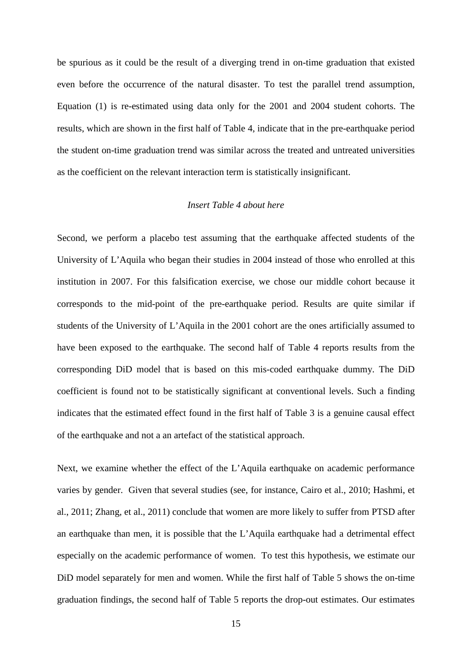be spurious as it could be the result of a diverging trend in on-time graduation that existed even before the occurrence of the natural disaster. To test the parallel trend assumption, Equation (1) is re-estimated using data only for the 2001 and 2004 student cohorts. The results, which are shown in the first half of Table 4, indicate that in the pre-earthquake period the student on-time graduation trend was similar across the treated and untreated universities as the coefficient on the relevant interaction term is statistically insignificant.

#### *Insert Table 4 about here*

Second, we perform a placebo test assuming that the earthquake affected students of the University of L'Aquila who began their studies in 2004 instead of those who enrolled at this institution in 2007. For this falsification exercise, we chose our middle cohort because it corresponds to the mid-point of the pre-earthquake period. Results are quite similar if students of the University of L'Aquila in the 2001 cohort are the ones artificially assumed to have been exposed to the earthquake. The second half of Table 4 reports results from the corresponding DiD model that is based on this mis-coded earthquake dummy. The DiD coefficient is found not to be statistically significant at conventional levels. Such a finding indicates that the estimated effect found in the first half of Table 3 is a genuine causal effect of the earthquake and not a an artefact of the statistical approach.

Next, we examine whether the effect of the L'Aquila earthquake on academic performance varies by gender. Given that several studies (see, for instance, Cairo et al., 2010; Hashmi, et al., 2011; Zhang, et al., 2011) conclude that women are more likely to suffer from PTSD after an earthquake than men, it is possible that the L'Aquila earthquake had a detrimental effect especially on the academic performance of women. To test this hypothesis, we estimate our DiD model separately for men and women. While the first half of Table 5 shows the on-time graduation findings, the second half of Table 5 reports the drop-out estimates. Our estimates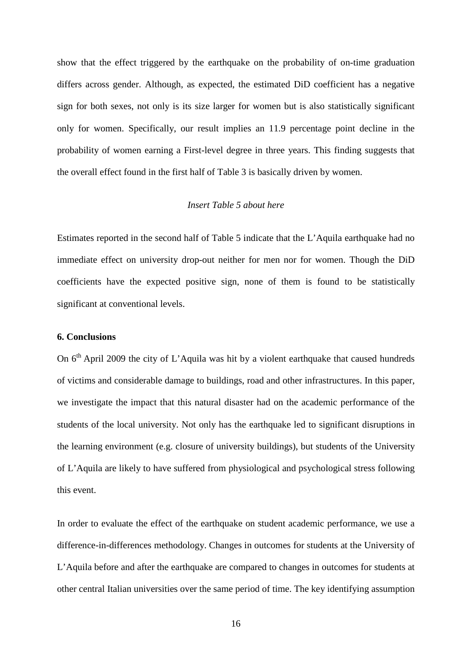show that the effect triggered by the earthquake on the probability of on-time graduation differs across gender. Although, as expected, the estimated DiD coefficient has a negative sign for both sexes, not only is its size larger for women but is also statistically significant only for women. Specifically, our result implies an 11.9 percentage point decline in the probability of women earning a First-level degree in three years. This finding suggests that the overall effect found in the first half of Table 3 is basically driven by women.

### *Insert Table 5 about here*

Estimates reported in the second half of Table 5 indicate that the L'Aquila earthquake had no immediate effect on university drop-out neither for men nor for women. Though the DiD coefficients have the expected positive sign, none of them is found to be statistically significant at conventional levels.

#### **6. Conclusions**

On  $6<sup>th</sup>$  April 2009 the city of L'Aquila was hit by a violent earthquake that caused hundreds of victims and considerable damage to buildings, road and other infrastructures. In this paper, we investigate the impact that this natural disaster had on the academic performance of the students of the local university. Not only has the earthquake led to significant disruptions in the learning environment (e.g. closure of university buildings), but students of the University of L'Aquila are likely to have suffered from physiological and psychological stress following this event.

In order to evaluate the effect of the earthquake on student academic performance, we use a difference-in-differences methodology. Changes in outcomes for students at the University of L'Aquila before and after the earthquake are compared to changes in outcomes for students at other central Italian universities over the same period of time. The key identifying assumption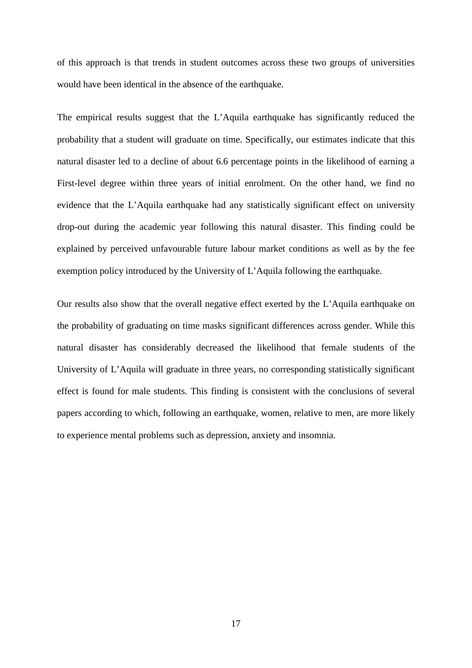of this approach is that trends in student outcomes across these two groups of universities would have been identical in the absence of the earthquake.

The empirical results suggest that the L'Aquila earthquake has significantly reduced the probability that a student will graduate on time. Specifically, our estimates indicate that this natural disaster led to a decline of about 6.6 percentage points in the likelihood of earning a First-level degree within three years of initial enrolment. On the other hand, we find no evidence that the L'Aquila earthquake had any statistically significant effect on university drop-out during the academic year following this natural disaster. This finding could be explained by perceived unfavourable future labour market conditions as well as by the fee exemption policy introduced by the University of L'Aquila following the earthquake.

Our results also show that the overall negative effect exerted by the L'Aquila earthquake on the probability of graduating on time masks significant differences across gender. While this natural disaster has considerably decreased the likelihood that female students of the University of L'Aquila will graduate in three years, no corresponding statistically significant effect is found for male students. This finding is consistent with the conclusions of several papers according to which, following an earthquake, women, relative to men, are more likely to experience mental problems such as depression, anxiety and insomnia.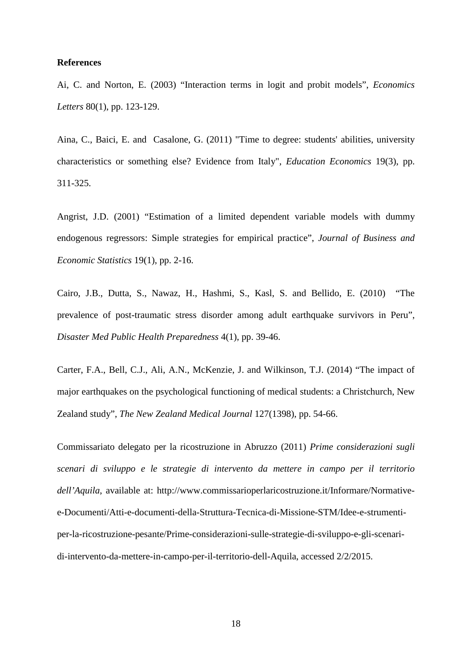#### **References**

Ai, C. and Norton, E. (2003) "Interaction terms in logit and probit models", *Economics Letters* 80(1), pp. 123-129.

Aina, C., Baici, E. and Casalone, G. (2011) ["Time to degree: students' abilities, university](https://ideas.repec.org/a/taf/edecon/v19y2011i3p311-325.html)  [characteristics or something else? Evidence from Italy"](https://ideas.repec.org/a/taf/edecon/v19y2011i3p311-325.html), *[Education Economics](https://ideas.repec.org/s/taf/edecon.html)* 19(3), pp. 311-325.

Angrist, J.D. (2001) "Estimation of a limited dependent variable models with dummy endogenous regressors: Simple strategies for empirical practice", *Journal of Business and Economic Statistics* 19(1), pp. 2-16.

Cairo, J.B., Dutta, S., Nawaz, H., Hashmi, S., Kasl, S. and Bellido, E. (2010) "The prevalence of post-traumatic stress disorder among adult earthquake survivors in Peru", *Disaster Med Public Health Preparedness* 4(1), pp. 39-46.

Carter, F.A., Bell, C.J., Ali, A.N., McKenzie, J. and Wilkinson, T.J. (2014) "The impact of major earthquakes on the psychological functioning of medical students: a Christchurch, New Zealand study", *The New Zealand Medical Journal* 127(1398), pp. 54-66.

Commissariato delegato per la ricostruzione in Abruzzo (2011) *Prime considerazioni sugli scenari di sviluppo e le strategie di intervento da mettere in campo per il territorio dell'Aquila*, available at: [http://www.commissarioperlaricostruzione.it/Informare/Normative](http://www.commissarioperlaricostruzione.it/Informare/Normative-e-Documenti/Atti-e-documenti-della-Struttura-Tecnica-di-Missione-STM/Idee-e-strumenti-per-la-ricostruzione-pesante/Prime-considerazioni-sulle-strategie-di-sviluppo-e-gli-scenari-di-intervento-da-mettere-in-campo-per-il-territorio-dell-Aquila)[e-Documenti/Atti-e-documenti-della-Struttura-Tecnica-di-Missione-STM/Idee-e-strumenti](http://www.commissarioperlaricostruzione.it/Informare/Normative-e-Documenti/Atti-e-documenti-della-Struttura-Tecnica-di-Missione-STM/Idee-e-strumenti-per-la-ricostruzione-pesante/Prime-considerazioni-sulle-strategie-di-sviluppo-e-gli-scenari-di-intervento-da-mettere-in-campo-per-il-territorio-dell-Aquila)[per-la-ricostruzione-pesante/Prime-considerazioni-sulle-strategie-di-sviluppo-e-gli-scenari](http://www.commissarioperlaricostruzione.it/Informare/Normative-e-Documenti/Atti-e-documenti-della-Struttura-Tecnica-di-Missione-STM/Idee-e-strumenti-per-la-ricostruzione-pesante/Prime-considerazioni-sulle-strategie-di-sviluppo-e-gli-scenari-di-intervento-da-mettere-in-campo-per-il-territorio-dell-Aquila)[di-intervento-da-mettere-in-campo-per-il-territorio-dell-Aquila,](http://www.commissarioperlaricostruzione.it/Informare/Normative-e-Documenti/Atti-e-documenti-della-Struttura-Tecnica-di-Missione-STM/Idee-e-strumenti-per-la-ricostruzione-pesante/Prime-considerazioni-sulle-strategie-di-sviluppo-e-gli-scenari-di-intervento-da-mettere-in-campo-per-il-territorio-dell-Aquila) accessed 2/2/2015.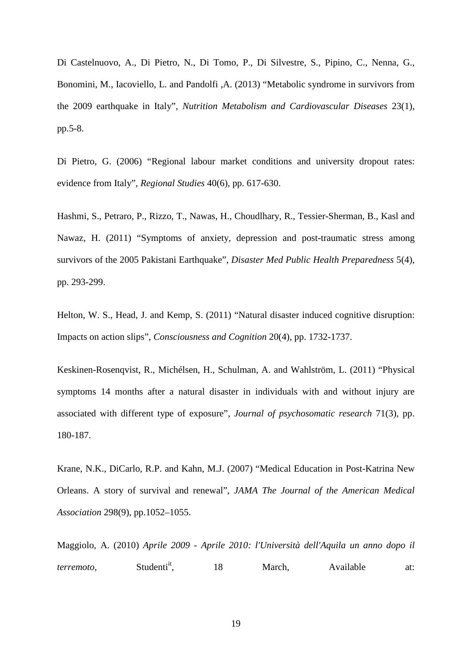[Di Castelnuovo, A.](http://www.ncbi.nlm.nih.gov/pubmed?term=Di%20Castelnuovo%20A%5BAuthor%5D&cauthor=true&cauthor_uid=23347883), [Di Pietro, N.](http://www.ncbi.nlm.nih.gov/pubmed?term=Di%20Pietro%20N%5BAuthor%5D&cauthor=true&cauthor_uid=23347883), [Di Tomo, P.](http://www.ncbi.nlm.nih.gov/pubmed?term=Di%20Tomo%20P%5BAuthor%5D&cauthor=true&cauthor_uid=23347883), [Di Silvestre, S.](http://www.ncbi.nlm.nih.gov/pubmed?term=Di%20Silvestre%20S%5BAuthor%5D&cauthor=true&cauthor_uid=23347883), [Pipino, C.](http://www.ncbi.nlm.nih.gov/pubmed?term=Pipino%20C%5BAuthor%5D&cauthor=true&cauthor_uid=23347883), [Nenna, G.](http://www.ncbi.nlm.nih.gov/pubmed?term=Nenna%20G%5BAuthor%5D&cauthor=true&cauthor_uid=23347883), [Bonomini, M.](http://www.ncbi.nlm.nih.gov/pubmed?term=Bonomini%20M%5BAuthor%5D&cauthor=true&cauthor_uid=23347883), [Iacoviello, L.](http://www.ncbi.nlm.nih.gov/pubmed?term=Iacoviello%20L%5BAuthor%5D&cauthor=true&cauthor_uid=23347883) and [Pandolfi ,A.](http://www.ncbi.nlm.nih.gov/pubmed?term=Pandolfi%20A%5BAuthor%5D&cauthor=true&cauthor_uid=23347883) (2013) "Metabolic syndrome in survivors from the 2009 earthquake in Italy", *Nutrition Metabolism and Cardiovascular Diseases* 23(1), pp.5-8.

Di Pietro, G. (2006) "Regional labour market conditions and university dropout rates: evidence from Italy", *[Regional Studies](http://www.tandf.co.uk/journals/titles/00343404.asp)* 40(6), pp. 617-630.

Hashmi, S., Petraro, P., Rizzo, T., Nawas, H., Choudlhary, R., Tessier-Sherman, B., Kasl and Nawaz, H. (2011) "Symptoms of anxiety, depression and post-traumatic stress among survivors of the 2005 Pakistani Earthquake", *Disaster Med Public Health Preparedness* 5(4), pp. 293-299.

Helton, W. S., Head, J. and Kemp, S. (2011) "Natural disaster induced cognitive disruption: Impacts on action slips", *Consciousness and Cognition* 20(4), pp. 1732-1737.

Keskinen-Rosenqvist, R., Michélsen, H., Schulman, A. and Wahlström, L. (2011) "Physical symptoms 14 months after a natural disaster in individuals with and without injury are associated with different type of exposure", *[Journal of psychosomatic research](http://www.researchgate.net/journal/1879-1360_Journal_of_psychosomatic_research)* 71(3), pp. 180-187.

Krane, N.K., DiCarlo, R.P. and Kahn, M.J. (2007) "Medical Education in Post-Katrina New Orleans. A story of survival and renewal", *JAMA The Journal of the American Medical Association* 298(9), pp.1052–1055.

Maggiolo, A. (2010) *Aprile 2009 - Aprile 2010: l'Università dell'Aquila un anno dopo il terremoto*, Studenti<sup>it</sup>, 18 March, Available at: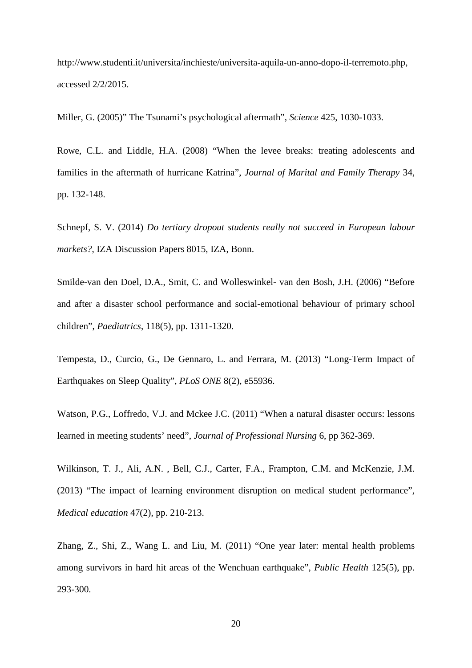http://www.studenti.it/universita/inchieste/universita-aquila-un-anno-dopo-il-terremoto.php, accessed 2/2/2015.

Miller, G. (2005)" The Tsunami's psychological aftermath", *Science* 425, 1030-1033.

Rowe, C.L. and Liddle, H.A. (2008) "When the levee breaks: treating adolescents and families in the aftermath of hurricane Katrina", *Journal of Marital and Family Therapy* 34, pp. 132-148.

Schnepf, S. V. (2014) *[Do tertiary dropout students really not succeed in European labour](http://eprints.soton.ac.uk/363323/)  [markets?](http://eprints.soton.ac.uk/363323/)*, IZA Discussion Papers 8015, IZA, Bonn.

Smilde-van den Doel, D.A., Smit, C. and Wolleswinkel- van den Bosh, J.H. (2006) "Before and after a disaster school performance and social-emotional behaviour of primary school children", *Paediatrics*, 118(5), pp. 1311-1320.

Tempesta, D., Curcio, G., De Gennaro, L. and Ferrara, M. (2013) "Long-Term Impact of Earthquakes on Sleep Quality", *PLoS ONE* 8(2), e55936.

Watson, P.G., Loffredo, V.J. and Mckee J.C. (2011) "When a natural disaster occurs: lessons learned in meeting students' need", *Journal of Professional Nursing* 6, pp 362-369.

Wilkinson, T. J., Ali, A.N. , Bell, C.J., Carter, F.A., Frampton, C.M. and McKenzie, J.M. (2013) "The impact of learning environment disruption on medical student performance", *Medical education* 47(2), pp. 210-213.

Zhang, Z., Shi, Z., Wang L. and Liu, M. (2011) "One year later: mental health problems among survivors in hard hit areas of the Wenchuan earthquake", *Public Health* 125(5), pp. 293-300.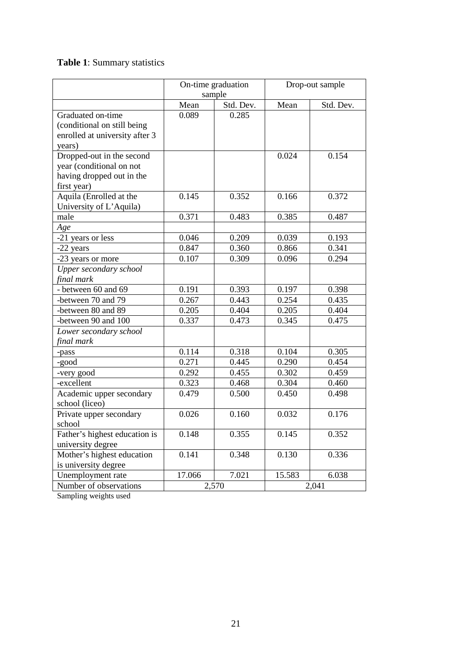## **Table 1**: Summary statistics

|                                | On-time graduation<br>sample |           | Drop-out sample |           |  |
|--------------------------------|------------------------------|-----------|-----------------|-----------|--|
|                                |                              |           |                 |           |  |
|                                | Mean                         | Std. Dev. | Mean            | Std. Dev. |  |
| Graduated on-time              | 0.089                        | 0.285     |                 |           |  |
| (conditional on still being    |                              |           |                 |           |  |
| enrolled at university after 3 |                              |           |                 |           |  |
| years)                         |                              |           |                 |           |  |
| Dropped-out in the second      |                              |           | 0.024           | 0.154     |  |
| year (conditional on not       |                              |           |                 |           |  |
| having dropped out in the      |                              |           |                 |           |  |
| first year)                    |                              |           |                 |           |  |
| Aquila (Enrolled at the        | 0.145                        | 0.352     | 0.166           | 0.372     |  |
| University of L'Aquila)        |                              |           |                 |           |  |
| male                           | 0.371                        | 0.483     | 0.385           | 0.487     |  |
| Age                            |                              |           |                 |           |  |
| -21 years or less              | 0.046                        | 0.209     | 0.039           | 0.193     |  |
| -22 years                      | 0.847                        | 0.360     | 0.866           | 0.341     |  |
| -23 years or more              | 0.107                        | 0.309     | 0.096           | 0.294     |  |
| Upper secondary school         |                              |           |                 |           |  |
| final mark                     |                              |           |                 |           |  |
| - between 60 and 69            | 0.191                        | 0.393     | 0.197           | 0.398     |  |
| -between 70 and 79             | 0.267                        | 0.443     | 0.254           | 0.435     |  |
| -between 80 and 89             | 0.205                        | 0.404     | 0.205           | 0.404     |  |
| -between 90 and 100            | 0.337                        | 0.473     | 0.345           | 0.475     |  |
| Lower secondary school         |                              |           |                 |           |  |
| final mark                     |                              |           |                 |           |  |
| -pass                          | 0.114                        | 0.318     | 0.104           | 0.305     |  |
| -good                          | 0.271                        | 0.445     | 0.290           | 0.454     |  |
| -very good                     | 0.292                        | 0.455     | 0.302           | 0.459     |  |
| -excellent                     | 0.323                        | 0.468     | 0.304           | 0.460     |  |
| Academic upper secondary       | 0.479                        | 0.500     | 0.450           | 0.498     |  |
| school (liceo)                 |                              |           |                 |           |  |
| Private upper secondary        | 0.026                        | 0.160     | 0.032           | 0.176     |  |
| school                         |                              |           |                 |           |  |
| Father's highest education is  | 0.148                        | 0.355     | 0.145           | 0.352     |  |
| university degree              |                              |           |                 |           |  |
| Mother's highest education     | 0.141                        | 0.348     | 0.130           | 0.336     |  |
| is university degree           |                              |           |                 |           |  |
| Unemployment rate              | 17.066                       | 7.021     | 15.583          | 6.038     |  |
| Number of observations         |                              | 2,570     |                 | 2,041     |  |

Sampling weights used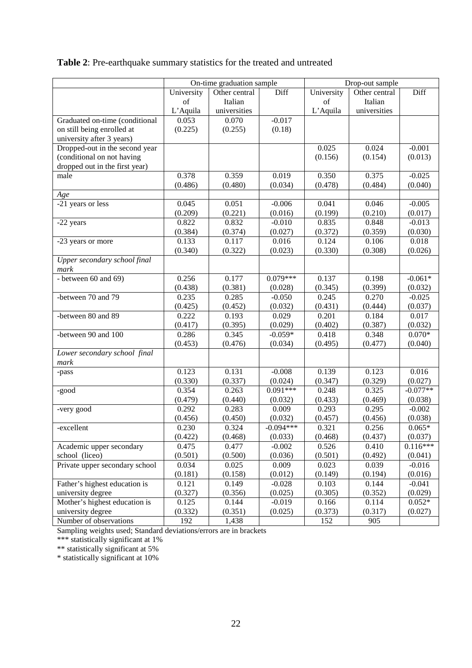### **Table 2**: Pre-earthquake summary statistics for the treated and untreated

|                                      | On-time graduation sample |               | Drop-out sample     |                  |                  |            |
|--------------------------------------|---------------------------|---------------|---------------------|------------------|------------------|------------|
|                                      | University                | Other central | Diff                | University       | Other central    | Diff       |
|                                      | of                        | Italian       |                     | of               | Italian          |            |
|                                      | L'Aquila                  | universities  |                     | L'Aquila         | universities     |            |
| Graduated on-time (conditional       | 0.053                     | 0.070         | $-0.017$            |                  |                  |            |
| on still being enrolled at           | (0.225)                   | (0.255)       | (0.18)              |                  |                  |            |
| university after 3 years)            |                           |               |                     |                  |                  |            |
| Dropped-out in the second year       |                           |               |                     | 0.025            | 0.024            | $-0.001$   |
| (conditional on not having           |                           |               |                     | (0.156)          | (0.154)          | (0.013)    |
| dropped out in the first year)       |                           |               |                     |                  |                  |            |
| male                                 | 0.378                     | 0.359         | 0.019               | 0.350            | 0.375            | $-0.025$   |
|                                      | (0.486)                   | (0.480)       | (0.034)             | (0.478)          | (0.484)          | (0.040)    |
| Age                                  |                           |               |                     |                  |                  |            |
| -21 years or less                    | 0.045                     | 0.051         | $-0.006$            | 0.041            | 0.046            | $-0.005$   |
|                                      | (0.209)                   | (0.221)       | (0.016)             | (0.199)          | (0.210)          | (0.017)    |
| -22 years                            | 0.822                     | 0.832         | $-0.010$            | 0.835            | 0.848            | $-0.013$   |
|                                      | (0.384)                   | (0.374)       | (0.027)             | (0.372)          | (0.359)          | (0.030)    |
| -23 years or more                    | 0.133                     | 0.117         | 0.016               | 0.124            | 0.106            | 0.018      |
|                                      | (0.340)                   | (0.322)       | (0.023)             | (0.330)          | (0.308)          | (0.026)    |
| Upper secondary school final         |                           |               |                     |                  |                  |            |
| mark                                 |                           |               | $0.079***$          |                  |                  |            |
| - between 60 and 69)                 | 0.256                     | 0.177         |                     | 0.137            | 0.198            | $-0.061*$  |
| -between 70 and 79                   | (0.438)<br>0.235          | (0.381)       | (0.028)<br>$-0.050$ | (0.345)<br>0.245 | (0.399)<br>0.270 | (0.032)    |
|                                      |                           | 0.285         |                     | (0.431)          |                  | $-0.025$   |
|                                      | (0.425)                   | (0.452)       | (0.032)             |                  | (0.444)          | (0.037)    |
| -between 80 and 89                   | 0.222                     | 0.193         | 0.029               | 0.201            | 0.184            | 0.017      |
|                                      | (0.417)                   | (0.395)       | (0.029)             | (0.402)          | (0.387)          | (0.032)    |
| -between 90 and 100                  | 0.286                     | 0.345         | $-0.059*$           | 0.418            | 0.348            | $0.070*$   |
|                                      | (0.453)                   | (0.476)       | (0.034)             | (0.495)          | (0.477)          | (0.040)    |
| Lower secondary school final<br>mark |                           |               |                     |                  |                  |            |
|                                      | 0.123                     | 0.131         | $-0.008$            | 0.139            | 0.123            | 0.016      |
| -pass                                | (0.330)                   | (0.337)       | (0.024)             | (0.347)          | (0.329)          | (0.027)    |
| -good                                | 0.354                     | 0.263         | $0.091***$          | 0.248            | 0.325            | $-0.077**$ |
|                                      | (0.479)                   | (0.440)       | (0.032)             | (0.433)          | (0.469)          | (0.038)    |
| -very good                           | 0.292                     | 0.283         | 0.009               | 0.293            | 0.295            | $-0.002$   |
|                                      | (0.456)                   | (0.450)       | (0.032)             | (0.457)          | (0.456)          | (0.038)    |
| -excellent                           | 0.230                     | 0.324         | $-0.094***$         | 0.321            | 0.256            | $0.065*$   |
|                                      | (0.422)                   | (0.468)       | (0.033)             | (0.468)          | (0.437)          | (0.037)    |
| Academic upper secondary             | 0.475                     | 0.477         | $-0.002$            | 0.526            | 0.410            | $0.116***$ |
| school (liceo)                       | (0.501)                   | (0.500)       | (0.036)             | (0.501)          | (0.492)          | (0.041)    |
| Private upper secondary school       | 0.034                     | 0.025         | 0.009               | 0.023            | 0.039            | $-0.016$   |
|                                      | (0.181)                   | (0.158)       | (0.012)             | (0.149)          | (0.194)          | (0.016)    |
| Father's highest education is        | 0.121                     | 0.149         | $-0.028$            | 0.103            | 0.144            | $-0.041$   |
| university degree                    | (0.327)                   | (0.356)       | (0.025)             | (0.305)          | (0.352)          | (0.029)    |
| Mother's highest education is        | 0.125                     | 0.144         | $-0.019$            | 0.166            | 0.114            | $0.052*$   |
| university degree                    | (0.332)                   | (0.351)       | (0.025)             | (0.373)          | (0.317)          | (0.027)    |
| Number of observations               | 192                       | 1,438         |                     | 152              | 905              |            |
|                                      |                           |               |                     |                  |                  |            |

Sampling weights used; Standard deviations/errors are in brackets

\*\*\* statistically significant at 1%

\*\* statistically significant at 5%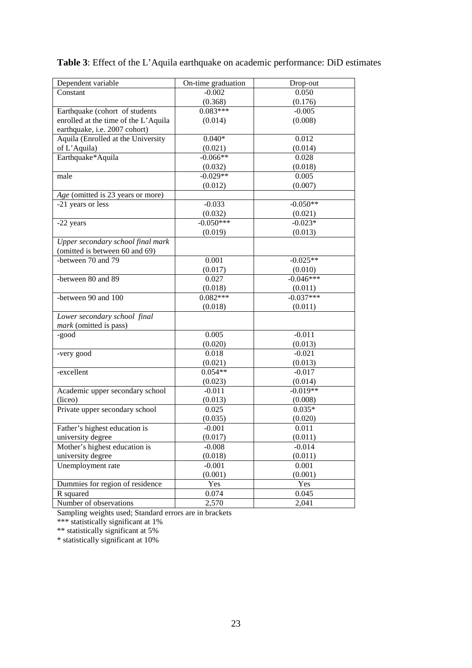| Dependent variable                   | On-time graduation | Drop-out    |  |
|--------------------------------------|--------------------|-------------|--|
| Constant                             | $-0.002$           | 0.050       |  |
|                                      | (0.368)            | (0.176)     |  |
| Earthquake (cohort of students       | $0.083***$         | $-0.005$    |  |
| enrolled at the time of the L'Aquila | (0.014)            | (0.008)     |  |
| earthquake, i.e. 2007 cohort)        |                    |             |  |
| Aquila (Enrolled at the University   | $0.040*$           | 0.012       |  |
| of L'Aquila)                         | (0.021)            | (0.014)     |  |
| Earthquake*Aquila                    | $-0.066**$         | 0.028       |  |
|                                      | (0.032)            | (0.018)     |  |
| male                                 | $-0.029**$         | 0.005       |  |
|                                      | (0.012)            | (0.007)     |  |
| Age (omitted is 23 years or more)    |                    |             |  |
| -21 years or less                    | $-0.033$           | $-0.050**$  |  |
|                                      | (0.032)            | (0.021)     |  |
| -22 years                            | $-0.050***$        | $-0.023*$   |  |
|                                      | (0.019)            | (0.013)     |  |
| Upper secondary school final mark    |                    |             |  |
| (omitted is between 60 and 69)       |                    |             |  |
| -between 70 and 79                   | 0.001              | $-0.025**$  |  |
|                                      | (0.017)            | (0.010)     |  |
| -between $80$ and $\overline{89}$    | 0.027              | $-0.046***$ |  |
|                                      | (0.018)            | (0.011)     |  |
| -between 90 and 100                  | $0.082***$         | $-0.037***$ |  |
|                                      | (0.018)            | (0.011)     |  |
| Lower secondary school final         |                    |             |  |
| mark (omitted is pass)               |                    |             |  |
| -good                                | 0.005              | $-0.011$    |  |
|                                      | (0.020)            | (0.013)     |  |
| -very good                           | 0.018              | $-0.021$    |  |
|                                      | (0.021)            | (0.013)     |  |
| -excellent                           | $0.054**$          | $-0.017$    |  |
|                                      | (0.023)            | (0.014)     |  |
| Academic upper secondary school      | $-0.011$           | $-0.019**$  |  |
| (liceo)                              | (0.013)            | (0.008)     |  |
| Private upper secondary school       | 0.025              | $0.035*$    |  |
|                                      | (0.035)            | (0.020)     |  |
| Father's highest education is        | $-0.001$           | 0.011       |  |
| university degree                    | (0.017)            | (0.011)     |  |
| Mother's highest education is        | $-0.008$           | $-0.014$    |  |
| university degree                    | (0.018)            | (0.011)     |  |
| Unemployment rate                    | $-0.001$           | 0.001       |  |
|                                      | (0.001)            | (0.001)     |  |
| Dummies for region of residence      | Yes                | Yes         |  |
| R squared                            | 0.074              | 0.045       |  |
| Number of observations               | 2,570              | 2,041       |  |

**Table 3**: Effect of the L'Aquila earthquake on academic performance: DiD estimates

Sampling weights used; Standard errors are in brackets

\*\*\* statistically significant at 1%

\*\* statistically significant at 5%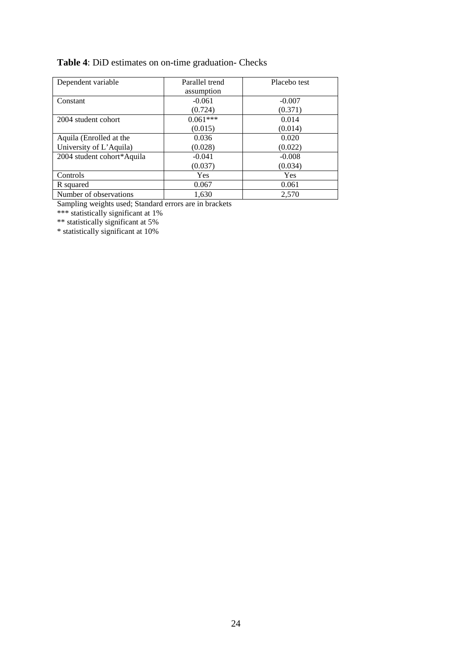### **Table 4**: DiD estimates on on-time graduation- Checks

| Dependent variable         | Parallel trend | Placebo test |  |
|----------------------------|----------------|--------------|--|
|                            | assumption     |              |  |
| Constant                   | $-0.061$       | $-0.007$     |  |
|                            | (0.724)        | (0.371)      |  |
| 2004 student cohort        | $0.061***$     | 0.014        |  |
|                            | (0.015)        | (0.014)      |  |
| Aquila (Enrolled at the    | 0.036          | 0.020        |  |
| University of L'Aquila)    | (0.028)        | (0.022)      |  |
| 2004 student cohort*Aquila | $-0.041$       | $-0.008$     |  |
|                            | (0.037)        | (0.034)      |  |
| Controls                   | Yes            | Yes          |  |
| R squared                  | 0.067          | 0.061        |  |
| Number of observations     | 1,630          | 2.570        |  |

Sampling weights used; Standard errors are in brackets

\*\*\* statistically significant at 1%

\*\* statistically significant at 5%